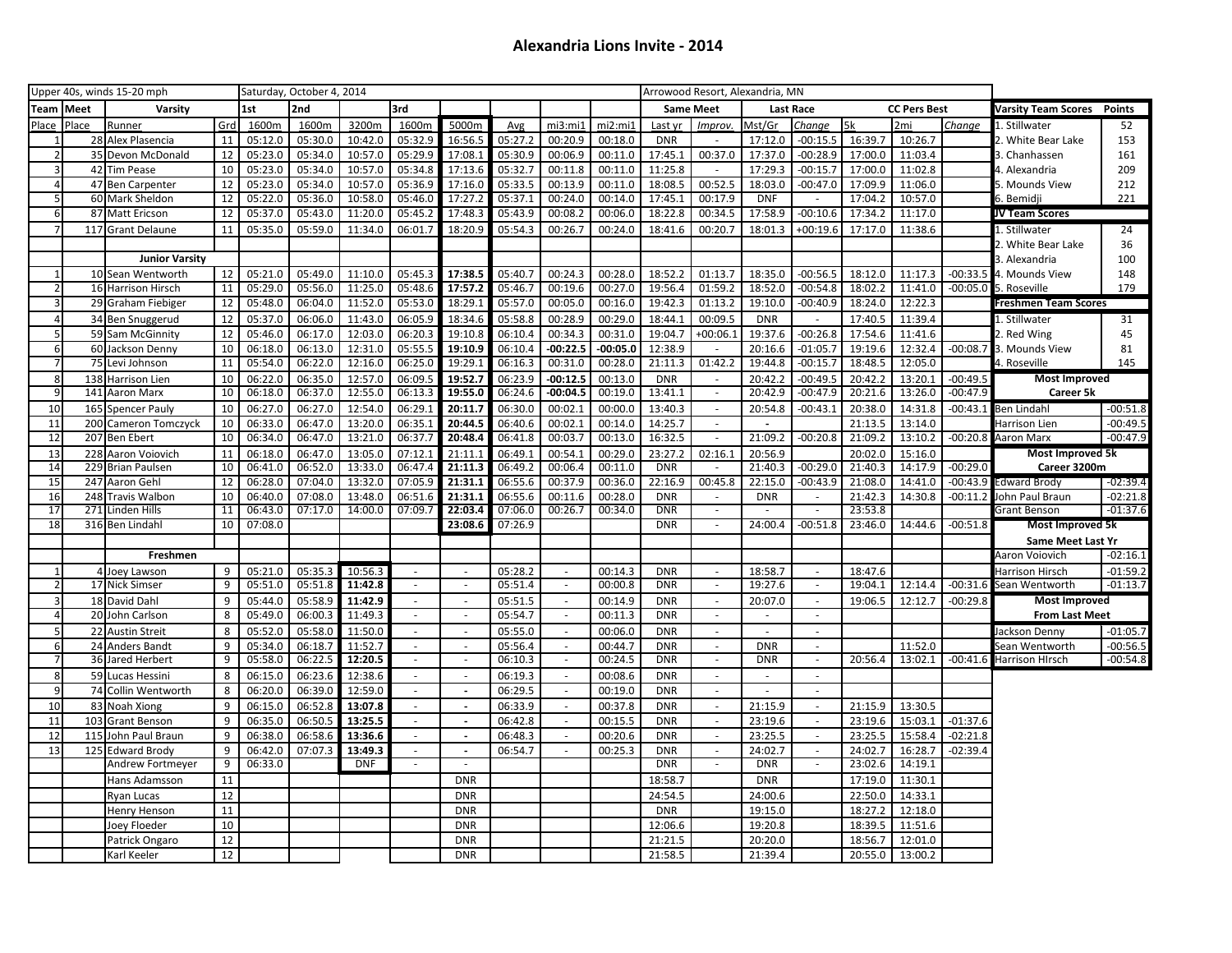| Upper 40s, winds 15-20 mph |               |                                         |                 | Saturday, October 4, 2014 |                    |                       |                             |                          |         |                                    |                    |                          |                                            | Arrowood Resort, Alexandria, MN |                          |                    |                     |            |                             |               |
|----------------------------|---------------|-----------------------------------------|-----------------|---------------------------|--------------------|-----------------------|-----------------------------|--------------------------|---------|------------------------------------|--------------------|--------------------------|--------------------------------------------|---------------------------------|--------------------------|--------------------|---------------------|------------|-----------------------------|---------------|
| Team                       | <b>I</b> Meet | Varsity                                 |                 | 1st                       | 2nd                |                       | 3rd                         |                          |         |                                    |                    |                          | <b>Same Meet</b>                           |                                 | <b>Last Race</b>         |                    | <b>CC Pers Best</b> |            | Varsity Team Scores         | <b>Points</b> |
| Place                      | Place         | Runner                                  | Grd             | 1600m                     | 1600m              | 3200m                 | 1600m                       | 5000m                    | Avg     | mi3:mi1                            | mi2:mi1            | Last yr                  | Improv.                                    | Mst/Gr                          | Change                   | 5k                 | 2 <sub>mi</sub>     | Change     | 1. Stillwater               | 52            |
|                            |               | 28 Alex Plasencia                       | 11              | 05:12.0                   | 05:30.0            | 10:42.0               | 05:32.9                     | 16:56.5                  | 05:27.2 | 00:20.9                            | 00:18.0            | <b>DNR</b>               |                                            | 17:12.0                         | $-00:15.5$               | 16:39.7            | 10:26.7             |            | 2. White Bear Lake          | 153           |
|                            | 35            | Devon McDonald                          | 12              | 05:23.0                   | 05:34.0            | 10:57.0               | 05:29.9                     | 17:08.1                  | 05:30.9 | 00:06.9                            | 00:11.0            | 17:45.1                  | 00:37.0                                    | 17:37.0                         | $-00:28.9$               | 17:00.0            | 11:03.4             |            | 3. Chanhassen               | 161           |
| 3                          | 42            | <b>Tim Pease</b>                        | 10              | 05:23.0                   | 05:34.0            | 10:57.0               | 05:34.8                     | 17:13.6                  | 05:32.7 | 00:11.8                            | 00:11.0            | 11:25.8                  |                                            | 17:29.3                         | $-00:15.7$               | 17:00.0            | 11:02.8             |            | 1. Alexandria               | 209           |
| 4                          | 47            | <b>Ben Carpenter</b>                    | 12              | 05:23.0                   | 05:34.0            | 10:57.0               | 05:36.9                     | 17:16.0                  | 05:33.5 | 00:13.9                            | 00:11.0            | 18:08.5                  | 00:52.5                                    | 18:03.0                         | $-00:47.0$               | 17:09.9            | 11:06.0             |            | 5. Mounds View              | 212           |
| 5                          | 60            | Mark Sheldon                            | 12              | 05:22.0                   | 05:36.0            | 10:58.0               | 05:46.0                     | 17:27.2                  | 05:37.1 | 00:24.0                            | 00:14.0            | 17:45.1                  | 00:17.9                                    | <b>DNF</b>                      | $\sim$                   | 17:04.2            | 10:57.0             |            | 6. Bemidji                  | 221           |
| 6                          | 87            | Matt Ericson                            | $\overline{12}$ | 05:37.0                   | 05:43.0            | 11:20.0               | 05:45.2                     | 17:48.3                  | 05:43.9 | 00:08.2                            | 00:06.0            | 18:22.8                  | 00:34.5                                    | 17:58.9                         | $-00:10.6$               | 17:34.2            | 11:17.0             |            | JV Team Scores              |               |
|                            |               | 117 Grant Delaune                       | 11              | 05:35.0                   | 05:59.0            | 11:34.0               | 06:01.7                     | 18:20.9                  | 05:54.3 | 00:26.7                            | 00:24.0            | 18:41.6                  | 00:20.7                                    | 18:01.3                         | $+00:19.6$               | 17:17.0            | 11:38.6             |            | 1. Stillwater               | 24            |
|                            |               |                                         |                 |                           |                    |                       |                             |                          |         |                                    |                    |                          |                                            |                                 |                          |                    |                     |            | 2. White Bear Lake          | 36            |
|                            |               | <b>Junior Varsity</b>                   |                 |                           |                    |                       |                             |                          |         |                                    |                    |                          |                                            |                                 |                          |                    |                     |            | 3. Alexandria               | 100           |
|                            |               | 10 Sean Wentworth                       | 12              | 05:21.0                   | 05:49.0            | 11:10.0               | 05:45.3                     | 17:38.5                  | 05:40.7 | 00:24.3                            | 00:28.0            | 18:52.2                  | 01:13.7                                    | 18:35.0                         | $-00:56.5$               | 18:12.0            | 11:17.3             | $-00:33.5$ | 4. Mounds View              | 148           |
| 2                          |               | 16 Harrison Hirsch                      | 11              | 05:29.0                   | 05:56.0            | 11:25.0               | 05:48.6                     | 17:57.2                  | 05:46.7 | 00:19.6                            | 00:27.0            | 19:56.4                  | 01:59.2                                    | 18:52.0                         | $-00:54.8$               | 18:02.2            | 11:41.0             | $-00:05.0$ | 5. Roseville                | 179           |
| 3                          |               | 29 Graham Fiebiger                      | 12              | 05:48.0                   | 06:04.0            | 11:52.0               | 05:53.0                     | 18:29.1                  | 05:57.0 | 00:05.0                            | 00:16.0            | 19:42.3                  | 01:13.2                                    | 19:10.0                         | $-00:40.9$               | 18:24.0            | 12:22.3             |            | <b>Freshmen Team Scores</b> |               |
| $\overline{4}$             |               | 34 Ben Snuggerud                        | 12              | 05:37.0                   | 06:06.0            | 11:43.0               | 06:05.9                     | 18:34.6                  | 05:58.8 | 00:28.9                            | 00:29.0            | 18:44.1                  | 00:09.5                                    | <b>DNR</b>                      | $\sim$                   | 17:40.5            | 11:39.4             |            | 1. Stillwater               | 31            |
| 5                          |               | 59 Sam McGinnity                        | 12              | 05:46.0                   | 06:17.0            | 12:03.0               | 06:20.3                     | 19:10.8                  | 06:10.4 | 00:34.3                            | 00:31.0            | 19:04.7                  | $+00:06.1$                                 | 19:37.6                         | $-00:26.8$               | 17:54.6            | 11:41.6             |            | 2. Red Wing                 | 45            |
| 6 <sup>1</sup>             |               | 60 Jackson Denny                        | 10              | 06:18.0                   | 06:13.0            | 12:31.0               | 05:55.5                     | 19:10.9                  | 06:10.4 | $-00:22.5$                         | $-00:05.0$         | 12:38.9                  |                                            | 20:16.6                         | $-01:05.7$               | 19:19.6            | 12:32.4             | $-00:08.7$ | 3. Mounds View              | 81            |
|                            |               | 75 Levi Johnson                         | 11              | 05:54.0                   | 06:22.0            | 12:16.0               | 06:25.0                     | 19:29.1                  | 06:16.3 | 00:31.0                            | 00:28.0            | 21:11.3                  | 01:42.2                                    | 19:44.8                         | $-00:15.7$               | 18:48.5            | 12:05.0             |            | 4. Roseville                | 145           |
| 8                          | 138           | Harrison Lien                           | 10              | 06:22.0                   | 06:35.0            | 12:57.0               | 06:09.5                     | 19:52.7                  | 06:23.9 | $-00:12.5$                         | 00:13.0            | <b>DNR</b>               | $\mathcal{L}_{\mathcal{A}}$                | 20:42.2                         | $-00:49.5$               | 20:42.2            | 13:20.1             | $-00:49.5$ | <b>Most Improved</b>        |               |
| q                          | 141           | Aaron Marx                              | 10              | 06:18.0                   | 06:37.0            | 12:55.0               | 06:13.3                     | 19:55.0                  | 06:24.6 | $-00:04.5$                         | 00:19.0            | 13:41.1                  | $\omega$                                   | 20:42.9                         | $-00:47.9$               | 20:21.6            | 13:26.0             | $-00:47.9$ | Career 5k                   |               |
| 10                         |               | 165 Spencer Pauly                       | 10              | 06:27.0                   | 06:27.0            | 12:54.0               | 06:29.1                     | 20:11.7                  | 06:30.0 | 00:02.1                            | 00:00.0            | 13:40.3                  | $\sim$                                     | 20:54.8                         | $-00:43.1$               | 20:38.0            | 14:31.8             | $-00:43.1$ | <b>Ben Lindahl</b>          | $-00:51.8$    |
| 11                         | 200           | Cameron Tomczyck                        | 10              | 06:33.0                   | 06:47.0            | 13:20.0               | 06:35.1                     | 20:44.5                  | 06:40.6 | 00:02.1                            | 00:14.0            | 14:25.7                  | $\sim$                                     | $\blacksquare$                  |                          | 21:13.5            | 13:14.0             |            | Harrison Lien               | $-00:49.5$    |
| 12                         | 207           | <b>Ben Ebert</b>                        | 10              | 06:34.0                   | 06:47.0            | 13:21.0               | 06:37.7                     | 20:48.4                  | 06:41.8 | 00:03.7                            | 00:13.0            | 16:32.5                  |                                            | 21:09.2                         | $-00:20.8$               | 21:09.2            | 13:10.2             | $-00:20.8$ | Aaron Marx                  | $-00:47.9$    |
| 13                         | 228           | Aaron Voiovich                          | 11              | 06:18.0                   | 06:47.0            | 13:05.0               | 07:12.1                     | 21:11.1                  | 06:49.1 | 00:54.1                            | 00:29.0            | 23:27.2                  | 02:16.1                                    | 20:56.9                         |                          | 20:02.0            | 15:16.0             |            | <b>Most Improved 5k</b>     |               |
| 14                         | 229           | <b>Brian Paulsen</b>                    | 10              | 06:41.0                   | 06:52.0            | 13:33.0               | 06:47.4                     | 21:11.3                  | 06:49.2 | 00:06.4                            | 00:11.0            | <b>DNR</b>               |                                            | 21:40.3                         | $-00:29.0$               | 21:40.3            | 14:17.9             | $-00:29.0$ | Career 3200m                |               |
| 15                         | 247           | Aaron Gehl                              | 12              | 06:28.0                   | 07:04.0            | 13:32.0               | 07:05.9                     | 21:31.1                  | 06:55.6 | 00:37.9                            | 00:36.0            | 22:16.9                  | 00:45.8                                    | 22:15.0                         | $-00:43.9$               | 21:08.0            | 14:41.0             | $-00:43.9$ | Edward Brody                | $-02:39.4$    |
| 16                         | 248           | <b>Travis Walbon</b>                    | 10              | 06:40.0                   | 07:08.0            | 13:48.0               | 06:51.6                     | 21:31.1                  | 06:55.6 | 00:11.6                            | 00:28.0            | <b>DNR</b>               | $\blacksquare$                             | <b>DNR</b>                      | $\omega$                 | 21:42.3            | 14:30.8             | $-00:11.2$ | John Paul Braun             | $-02:21.8$    |
| 17                         | 271           | Linden Hills                            | 11              | 06:43.0                   | 07:17.0            | 14:00.0               | 07:09.7                     | 22:03.4                  | 07:06.0 | 00:26.7                            | 00:34.0            | <b>DNR</b>               |                                            |                                 |                          | 23:53.8            |                     |            | Grant Benson                | $-01:37.6$    |
| 18                         |               | 316 Ben Lindahl                         | 10              | 07:08.0                   |                    |                       |                             | 23:08.6                  | 07:26.9 |                                    |                    | <b>DNR</b>               |                                            | 24:00.4                         | $-00:51.8$               | 23:46.0            | 14:44.6             | $-00:51.8$ | Most Improved 5k            |               |
|                            |               |                                         |                 |                           |                    |                       |                             |                          |         |                                    |                    |                          |                                            |                                 |                          |                    |                     |            | Same Meet Last Yr           |               |
|                            |               | Freshmen                                |                 |                           |                    |                       |                             |                          |         |                                    |                    |                          |                                            |                                 |                          |                    |                     |            | Aaron Voiovich              | $-02:16.1$    |
|                            |               | 4 Joey Lawson                           | 9               | 05:21.0                   | 05:35.3            | 10:56.3               | $\sim$                      | $\sim$                   | 05:28.2 | $\sim$                             | 00:14.3            | <b>DNR</b>               | $\sim$                                     | 18:58.7                         | $\sim$                   | 18:47.6            |                     |            | Harrison Hirsch             | $-01:59.2$    |
| 2                          |               | 17 Nick Simser                          | 9               | 05:51.0                   | 05:51.8            | 11:42.8               | $\sim$                      | $\sim$                   | 05:51.4 | $\blacksquare$                     | 00:00.8            | <b>DNR</b>               | $\overline{\phantom{a}}$                   | 19:27.6                         | $\sim$                   | 19:04.1            | 12:14.4             | $-00:31.6$ | Sean Wentworth              | $-01:13.7$    |
| $\mathbf{3}$               |               | 18 David Dahl                           | 9               | 05:44.0                   | 05:58.9            | 11:42.9               | $\sim$                      | $\sim$                   | 05:51.5 | $\sim$                             | 00:14.9            | <b>DNR</b><br><b>DNR</b> | $\sim$                                     | 20:07.0                         | $\sim$                   | 19:06.5            | 12:12.7             | $-00:29.8$ | <b>Most Improved</b>        |               |
|                            |               | 20 John Carlson                         | 8               | 05:49.0                   | 06:00.3            | 11:49.3               |                             | $\sim$                   | 05:54.7 | $\overline{\phantom{a}}$           | 00:11.3            |                          |                                            |                                 | $\sim$                   |                    |                     |            | <b>From Last Meet</b>       |               |
| 5                          |               | 22 Austin Streit                        | 8               | 05:52.0                   | 05:58.0            | 11:50.0               | $\mathcal{L}_{\mathcal{A}}$ | $\sim$                   | 05:55.0 | $\sim$                             | 00:06.0            | <b>DNR</b>               |                                            |                                 |                          |                    |                     |            | ackson Denny                | $-01:05.7$    |
| 6<br>$\overline{7}$        | 24            | <b>Anders Bandt</b><br>36 Jared Herbert | 9<br>9          | 05:34.0<br>05:58.0        | 06:18.7<br>06:22.5 | 11:52.7<br>12:20.5    | $\sim$                      | $\sim$<br>$\sim$         | 05:56.4 | $\overline{\phantom{a}}$<br>$\sim$ | 00:44.7<br>00:24.5 | <b>DNR</b><br><b>DNR</b> | $\overline{\phantom{a}}$<br>$\blacksquare$ | <b>DNR</b><br><b>DNR</b>        | $\omega$                 | 20:56.4            | 11:52.0             | $-00:41.6$ | Sean Wentworth              | $-00:56.5$    |
|                            |               |                                         |                 |                           |                    |                       |                             |                          | 06:10.3 |                                    |                    |                          |                                            |                                 |                          |                    | 13:02.1             |            | Harrison HIrsch             | $-00:54.8$    |
| 8                          | 59            | Lucas Hessini                           | 8               | 06:15.0                   | 06:23.6            | 12:38.6               | $\sim$                      | $\sim$                   | 06:19.3 | $\sim$                             | 00:08.6            | <b>DNR</b>               | $\sim$                                     | $\sim$                          | $\sim$                   |                    |                     |            |                             |               |
| 9                          |               | 74 Collin Wentworth                     | 8               | 06:20.0                   | 06:39.0            | 12:59.0               | $\sim$                      | $\blacksquare$           | 06:29.5 | $\sim$                             | 00:19.0            | <b>DNR</b>               | $\blacksquare$                             |                                 | $\sim$                   |                    |                     |            |                             |               |
| 10                         | 83            | Noah Xiong                              | 9               | 06:15.0                   | 06:52.8            | 13:07.8               | $\sim$                      | $\overline{\phantom{a}}$ | 06:33.9 | $\sim$                             | 00:37.8            | <b>DNR</b>               | $\sim$                                     | 21:15.9                         | $\overline{\phantom{a}}$ | 21:15.9            | 13:30.5             |            |                             |               |
| 11                         | 103           | <b>Grant Benson</b>                     | 9               | 06:35.0                   | 06:50.5            | 13:25.5               |                             | $\overline{\phantom{a}}$ | 06:42.8 | $\omega$                           | 00:15.5            | <b>DNR</b>               | $\blacksquare$                             | 23:19.6                         | $\sim$                   | 23:19.6            | 15:03.1             | $-01:37.6$ |                             |               |
| 12                         | 115           | John Paul Braun                         | 9               | 06:38.0                   | 06:58.6            | 13:36.6               |                             | $\overline{\phantom{a}}$ | 06:48.3 |                                    | 00:20.6            | <b>DNR</b>               | $\sim$                                     | 23:25.5                         |                          | 23:25.5            | 15:58.4             | $-02:21.8$ |                             |               |
| 13                         |               | 125 Edward Brody<br>Andrew Fortmeyer    | 9<br>9          | 06:42.0<br>06:33.0        | 07:07.3            | 13:49.3<br><b>DNF</b> | $\sim$                      | $\omega$<br>$\sim$       | 06:54.7 |                                    | 00:25.3            | <b>DNR</b><br><b>DNR</b> | $\overline{\phantom{a}}$<br>$\omega$       | 24:02.7<br><b>DNR</b>           | $\sim$                   | 24:02.7<br>23:02.6 | 16:28.7<br>14:19.1  | $-02:39.4$ |                             |               |
|                            |               |                                         |                 |                           |                    |                       |                             |                          |         |                                    |                    |                          |                                            |                                 |                          |                    |                     |            |                             |               |
|                            |               | Hans Adamsson                           | 11<br>12        |                           |                    |                       |                             | <b>DNR</b>               |         |                                    |                    | 18:58.7                  |                                            | <b>DNR</b>                      |                          | 17:19.0            | 11:30.1             |            |                             |               |
|                            |               | Ryan Lucas                              | 11              |                           |                    |                       |                             | <b>DNR</b>               |         |                                    |                    | 24:54.5                  |                                            | 24:00.6                         |                          | 22:50.0            | 14:33.1             |            |                             |               |
|                            |               | Henry Henson                            | 10              |                           |                    |                       |                             | <b>DNR</b>               |         |                                    |                    | <b>DNR</b>               |                                            | 19:15.0                         |                          | 18:27.2            | 12:18.0             |            |                             |               |
|                            |               | Joey Floeder                            | 12              |                           |                    |                       |                             | <b>DNR</b><br><b>DNR</b> |         |                                    |                    | 12:06.6<br>21:21.5       |                                            | 19:20.8                         |                          | 18:39.5            | 11:51.6<br>12:01.0  |            |                             |               |
|                            |               | Patrick Ongaro                          |                 |                           |                    |                       |                             |                          |         |                                    |                    |                          |                                            | 20:20.0                         |                          | 18:56.7            |                     |            |                             |               |
|                            |               | Karl Keeler                             | 12              |                           |                    |                       |                             | <b>DNR</b>               |         |                                    |                    | 21:58.5                  |                                            | 21:39.4                         |                          |                    | 20:55.0 13:00.2     |            |                             |               |